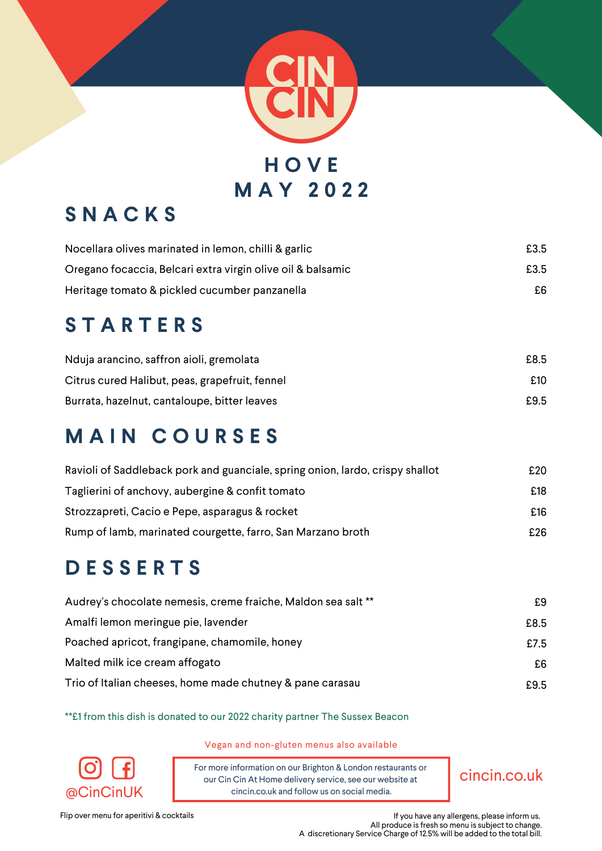

# **S N A C K S**

| Nocellara olives marinated in lemon, chilli & garlic        | £3.5 |
|-------------------------------------------------------------|------|
| Oregano focaccia, Belcari extra virgin olive oil & balsamic | £3.5 |
| Heritage tomato & pickled cucumber panzanella               | £6   |

# **S T A R T E R S**

| Nduja arancino, saffron aioli, gremolata       | £8.5 |
|------------------------------------------------|------|
| Citrus cured Halibut, peas, grapefruit, fennel | £10  |
| Burrata, hazelnut, cantaloupe, bitter leaves   | £9.5 |

## **M A I N C O U R S E S**

| Ravioli of Saddleback pork and guanciale, spring onion, lardo, crispy shallot | £20 |
|-------------------------------------------------------------------------------|-----|
| Taglierini of anchovy, aubergine & confit tomato                              | £18 |
| Strozzapreti, Cacio e Pepe, asparagus & rocket                                | £16 |
| Rump of lamb, marinated courgette, farro, San Marzano broth                   | £26 |

## **D E S S E R T S**

| Audrey's chocolate nemesis, creme fraiche, Maldon sea salt ** | £9   |
|---------------------------------------------------------------|------|
| Amalfi lemon meringue pie, lavender                           | £8.5 |
| Poached apricot, frangipane, chamomile, honey                 | £7.5 |
| Malted milk ice cream affogato                                | £6   |
| Trio of Italian cheeses, home made chutney & pane carasau     | £9.5 |

\*\*£1 from this dish is donated to our 2022 charity partner The Sussex Beacon



Vegan and non-gluten menus also available

For more information on our Brighton & London restaurants or our Cin Cin At Home delivery service, see our website at  $@CinCinUK$  cincin.co.uk and follow us on social media.

cincin.co.uk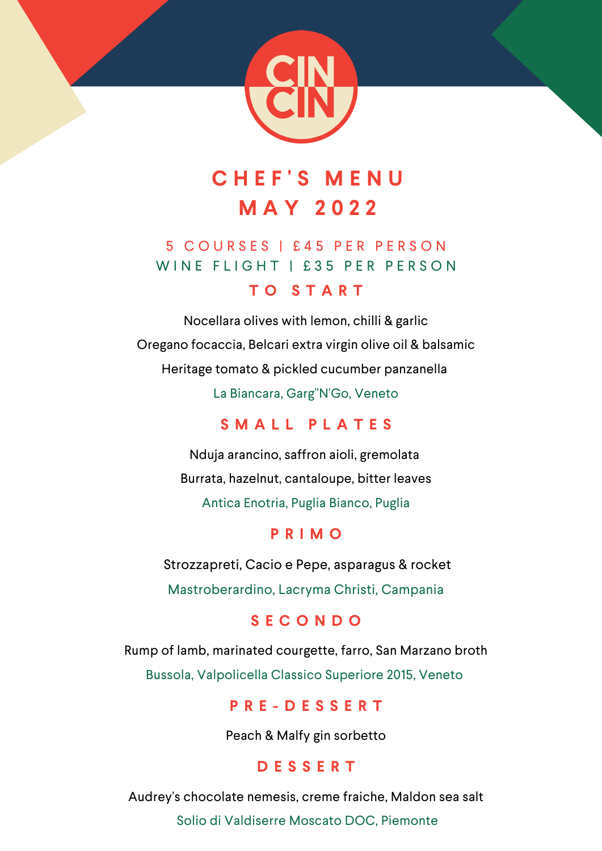

# **C H E F ' S M E N U M A Y 2 0 2 2**

### 5 C O U R S E S | £ 4 5 P E R P E R S O N WINE FLIGHT | £35 PER PERSON

#### **T O S T A R T**

Nocellara olives with lemon, chilli & garlic Oregano focaccia, Belcari extra virgin olive oil & balsamic Heritage tomato & pickled cucumber panzanella La Biancara, Garg"N'Go, Veneto

### **S M A L L P L A T E S**

Nduja arancino, saffron aioli, gremolata Burrata, hazelnut, cantaloupe, bitter leaves Antica Enotria, Puglia Bianco, Puglia

#### **P R I M O**

Strozzapreti, Cacio e Pepe, asparagus & rocket Mastroberardino, Lacryma Christi, Campania

#### **S E C O N D O**

Rump of lamb, marinated courgette, farro, San Marzano broth Bussola, Valpolicella Classico Superiore 2015, Veneto

#### **P R E - D E S S E R T**

Peach & Malfy gin sorbetto

#### **D E S S E R T**

Audrey's chocolate nemesis, creme fraiche, Maldon sea salt

Solio di Valdiserre Moscato DOC, Piemonte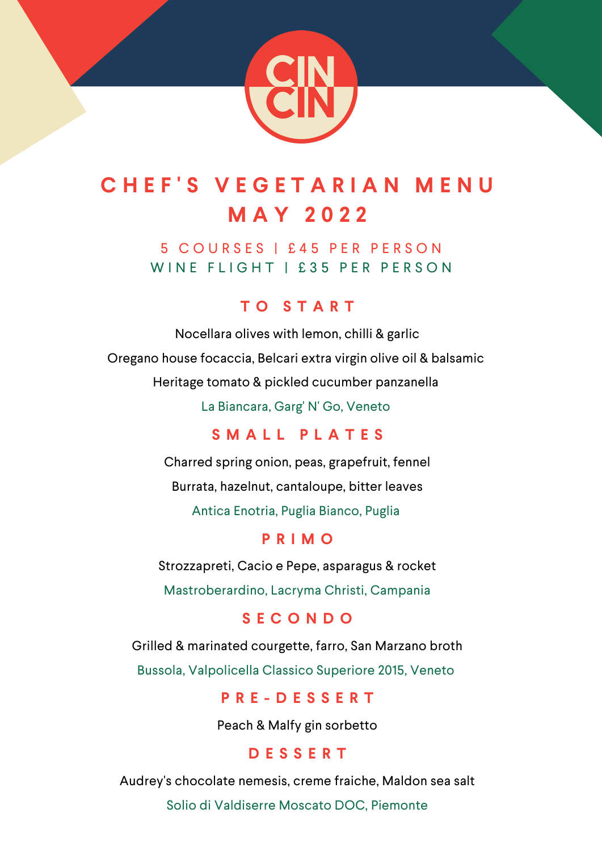

# **C H E F ' S V E G E T A R I A N M E N U M A Y 2 0 2 2**

5 C O U R S E S | £ 4 5 P E R P E R S O N WINE FLIGHT | £35 PER PERSON

#### **T O S T A R T**

Nocellara olives with lemon, chilli & garlic Oregano house focaccia, Belcari extra virgin olive oil & balsamic Heritage tomato & pickled cucumber panzanella

La Biancara, Garg' N' Go, Veneto

#### **S M A L L P L A T E S**

Charred spring onion, peas, grapefruit, fennel Burrata, hazelnut, cantaloupe, bitter leaves Antica Enotria, Puglia Bianco, Puglia

#### **P R I M O**

Strozzapreti, Cacio e Pepe, asparagus & rocket Mastroberardino, Lacryma Christi, Campania

#### **S E C O N D O**

Grilled & marinated courgette, farro, San Marzano broth Bussola, Valpolicella Classico Superiore 2015, Veneto

#### **P R E - D E S S E R T**

Peach & Malfy gin sorbetto

#### **D E S S E R T**

Audrey's chocolate nemesis, creme fraiche, Maldon sea salt

Solio di Valdiserre Moscato DOC, Piemonte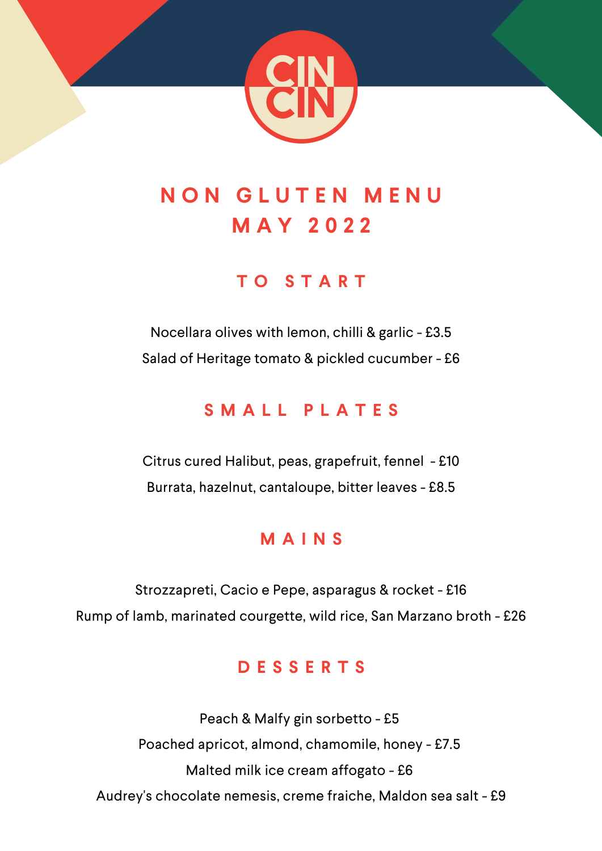

# **N O N G L U T E N M E N U M A Y 2 0 2 2**

## **T O S T A R T**

Nocellara olives with lemon, chilli & garlic - £3.5 Salad of Heritage tomato & pickled cucumber - £6

### **S M A L L P L A T E S**

Citrus cured Halibut, peas, grapefruit, fennel - £10 Burrata, hazelnut, cantaloupe, bitter leaves - £8.5

### **M A I N S**

Strozzapreti, Cacio e Pepe, asparagus & rocket - £16 Rump of lamb, marinated courgette, wild rice, San Marzano broth - £26

### **D E S S E R T S**

Peach & Malfy gin sorbetto - £5 Poached apricot, almond, chamomile, honey - £7.5 Malted milk ice cream affogato - £6 Audrey's chocolate nemesis, creme fraiche, Maldon sea salt - £9